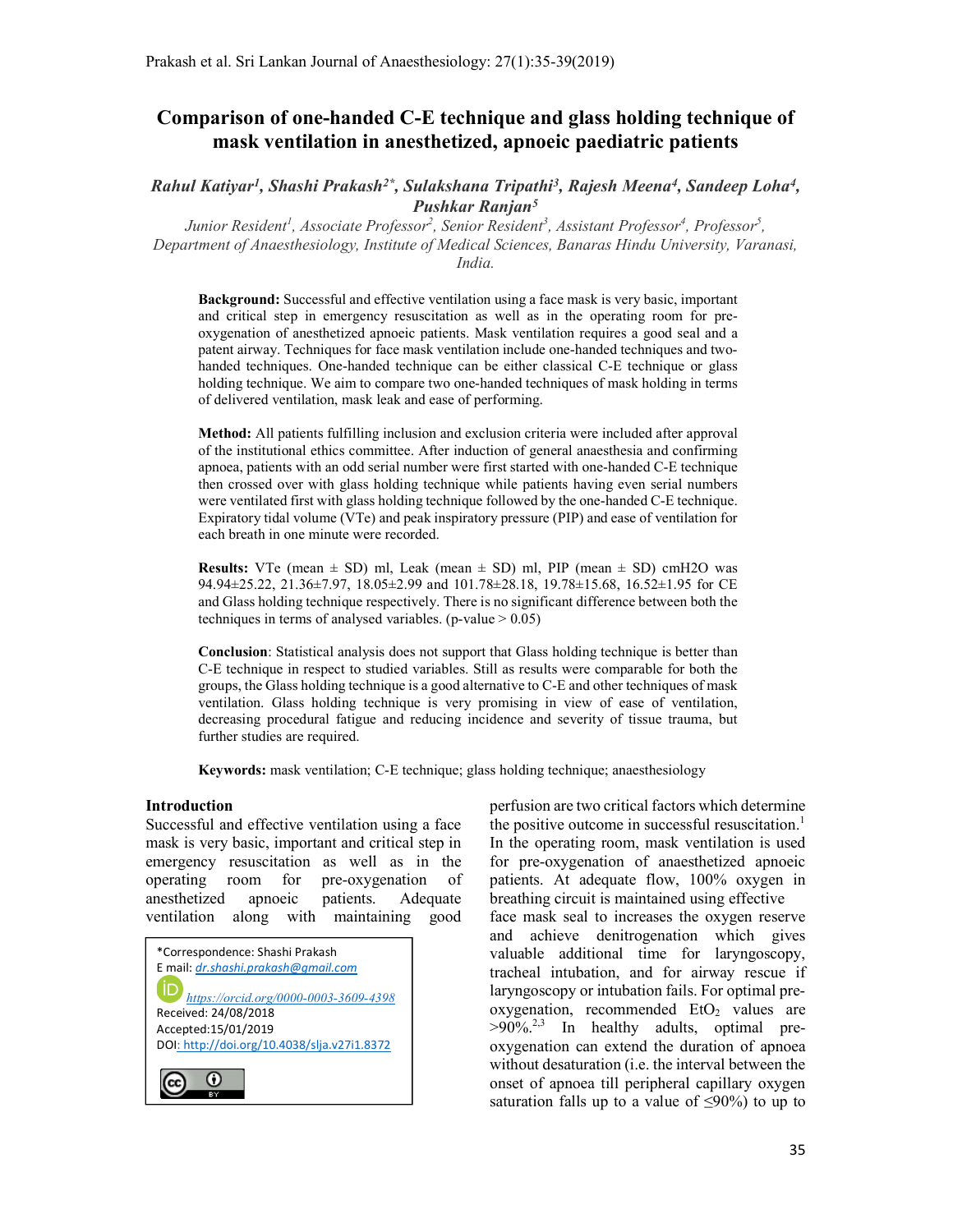# Comparison of one-handed C-E technique and glass holding technique of mask ventilation in anesthetized, apnoeic paediatric patients

# Rahul Katiyar<sup>1</sup>, Shashi Prakash<sup>2\*</sup>, Sulakshana Tripathi<sup>3</sup>, Rajesh Meena<sup>4</sup>, Sandeep Loha<sup>4</sup>, Pushkar Ranjan<sup>5</sup>

Junior Resident<sup>1</sup>, Associate Professor<sup>2</sup>, Senior Resident<sup>3</sup>, Assistant Professor<sup>4</sup>, Professor<sup>5</sup>, Department of Anaesthesiology, Institute of Medical Sciences, Banaras Hindu University, Varanasi, India.

Background: Successful and effective ventilation using a face mask is very basic, important and critical step in emergency resuscitation as well as in the operating room for preoxygenation of anesthetized apnoeic patients. Mask ventilation requires a good seal and a patent airway. Techniques for face mask ventilation include one-handed techniques and twohanded techniques. One-handed technique can be either classical C-E technique or glass holding technique. We aim to compare two one-handed techniques of mask holding in terms of delivered ventilation, mask leak and ease of performing.

Method: All patients fulfilling inclusion and exclusion criteria were included after approval of the institutional ethics committee. After induction of general anaesthesia and confirming apnoea, patients with an odd serial number were first started with one-handed C-E technique then crossed over with glass holding technique while patients having even serial numbers were ventilated first with glass holding technique followed by the one-handed C-E technique. Expiratory tidal volume (VTe) and peak inspiratory pressure (PIP) and ease of ventilation for each breath in one minute were recorded.

**Results:** VTe (mean  $\pm$  SD) ml, Leak (mean  $\pm$  SD) ml, PIP (mean  $\pm$  SD) cmH2O was 94.94±25.22, 21.36±7.97, 18.05±2.99 and 101.78±28.18, 19.78±15.68, 16.52±1.95 for CE and Glass holding technique respectively. There is no significant difference between both the techniques in terms of analysed variables. (p-value  $> 0.05$ )

Conclusion: Statistical analysis does not support that Glass holding technique is better than C-E technique in respect to studied variables. Still as results were comparable for both the groups, the Glass holding technique is a good alternative to C-E and other techniques of mask ventilation. Glass holding technique is very promising in view of ease of ventilation, decreasing procedural fatigue and reducing incidence and severity of tissue trauma, but further studies are required.

Keywords: mask ventilation; C-E technique; glass holding technique; anaesthesiology

## Introduction

Successful and effective ventilation using a face mask is very basic, important and critical step in emergency resuscitation as well as in the operating room for pre-oxygenation of anesthetized apnoeic patients. Adequate ventilation along with maintaining good



perfusion are two critical factors which determine the positive outcome in successful resuscitation.<sup>1</sup> In the operating room, mask ventilation is used for pre-oxygenation of anaesthetized apnoeic patients. At adequate flow, 100% oxygen in breathing circuit is maintained using effective face mask seal to increases the oxygen reserve and achieve denitrogenation which gives valuable additional time for laryngoscopy, tracheal intubation, and for airway rescue if laryngoscopy or intubation fails. For optimal preoxygenation, recommended  $EtO<sub>2</sub>$  values are  $>90\%$ <sup>2,3</sup> In healthy adults, optimal preoxygenation can extend the duration of apnoea without desaturation (i.e. the interval between the onset of apnoea till peripheral capillary oxygen saturation falls up to a value of  $\leq 90\%$ ) to up to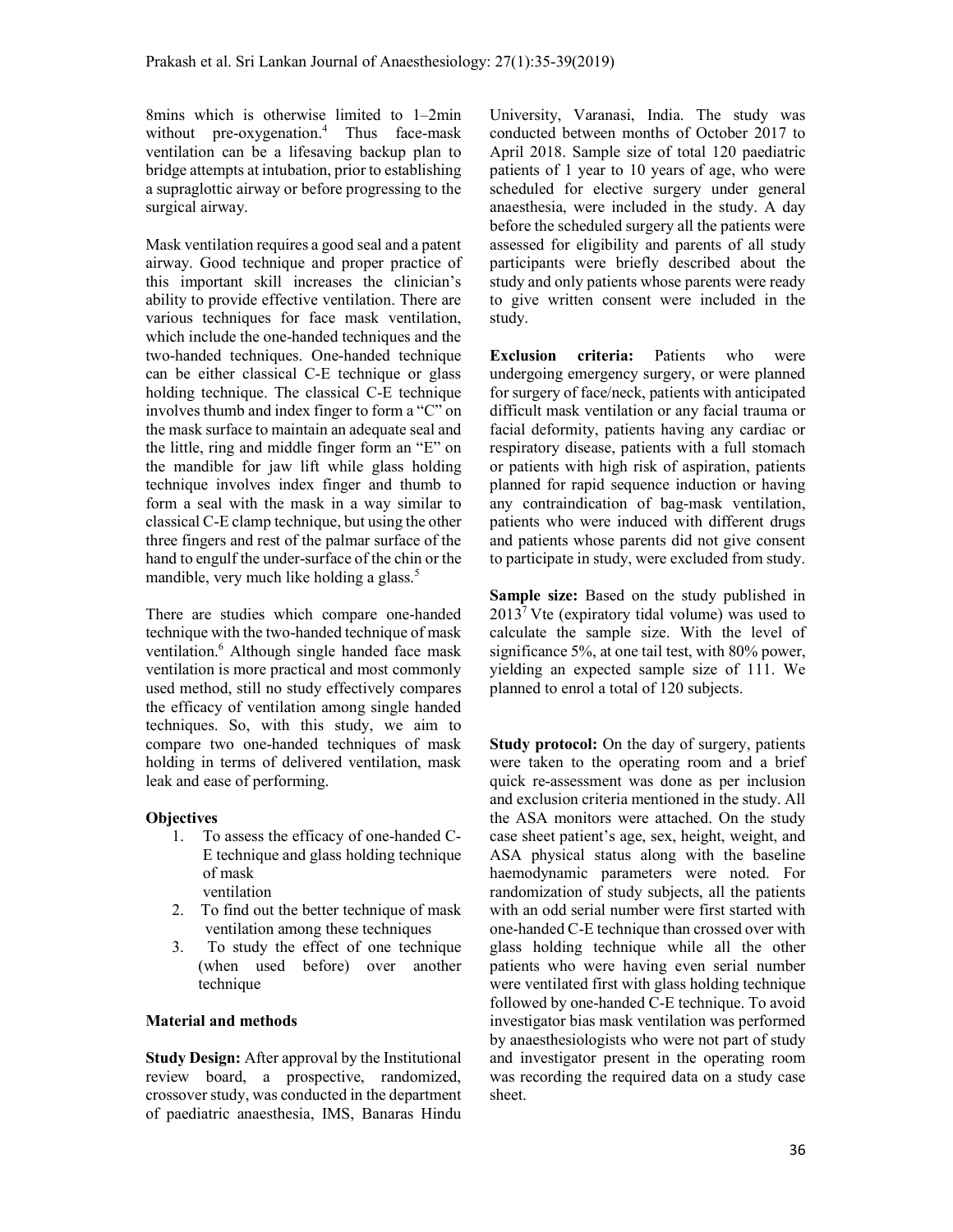8mins which is otherwise limited to 1–2min without pre-oxygenation.<sup>4</sup> Thus face-mask ventilation can be a lifesaving backup plan to bridge attempts at intubation, prior to establishing a supraglottic airway or before progressing to the surgical airway.

Mask ventilation requires a good seal and a patent airway. Good technique and proper practice of this important skill increases the clinician's ability to provide effective ventilation. There are various techniques for face mask ventilation, which include the one-handed techniques and the two-handed techniques. One-handed technique can be either classical C-E technique or glass holding technique. The classical C-E technique involves thumb and index finger to form a "C" on the mask surface to maintain an adequate seal and the little, ring and middle finger form an "E" on the mandible for jaw lift while glass holding technique involves index finger and thumb to form a seal with the mask in a way similar to classical C-E clamp technique, but using the other three fingers and rest of the palmar surface of the hand to engulf the under-surface of the chin or the mandible, very much like holding a glass.<sup>5</sup>

There are studies which compare one-handed technique with the two-handed technique of mask ventilation.<sup>6</sup> Although single handed face mask ventilation is more practical and most commonly used method, still no study effectively compares the efficacy of ventilation among single handed techniques. So, with this study, we aim to compare two one-handed techniques of mask holding in terms of delivered ventilation, mask leak and ease of performing.

# **Objectives**

- 1. To assess the efficacy of one-handed C-E technique and glass holding technique of mask ventilation
- 2. To find out the better technique of mask ventilation among these techniques
- 3. To study the effect of one technique (when used before) over another technique

# Material and methods

Study Design: After approval by the Institutional review board, a prospective, randomized, crossover study, was conducted in the department of paediatric anaesthesia, IMS, Banaras Hindu

University, Varanasi, India. The study was conducted between months of October 2017 to April 2018. Sample size of total 120 paediatric patients of 1 year to 10 years of age, who were scheduled for elective surgery under general anaesthesia, were included in the study. A day before the scheduled surgery all the patients were assessed for eligibility and parents of all study participants were briefly described about the study and only patients whose parents were ready to give written consent were included in the study.

Exclusion criteria: Patients who were undergoing emergency surgery, or were planned for surgery of face/neck, patients with anticipated difficult mask ventilation or any facial trauma or facial deformity, patients having any cardiac or respiratory disease, patients with a full stomach or patients with high risk of aspiration, patients planned for rapid sequence induction or having any contraindication of bag-mask ventilation, patients who were induced with different drugs and patients whose parents did not give consent to participate in study, were excluded from study.

Sample size: Based on the study published in  $2013<sup>7</sup>$  Vte (expiratory tidal volume) was used to calculate the sample size. With the level of significance 5%, at one tail test, with 80% power, yielding an expected sample size of 111. We planned to enrol a total of 120 subjects.

Study protocol: On the day of surgery, patients were taken to the operating room and a brief quick re-assessment was done as per inclusion and exclusion criteria mentioned in the study. All the ASA monitors were attached. On the study case sheet patient's age, sex, height, weight, and ASA physical status along with the baseline haemodynamic parameters were noted. For randomization of study subjects, all the patients with an odd serial number were first started with one-handed C-E technique than crossed over with glass holding technique while all the other patients who were having even serial number were ventilated first with glass holding technique followed by one-handed C-E technique. To avoid investigator bias mask ventilation was performed by anaesthesiologists who were not part of study and investigator present in the operating room was recording the required data on a study case sheet.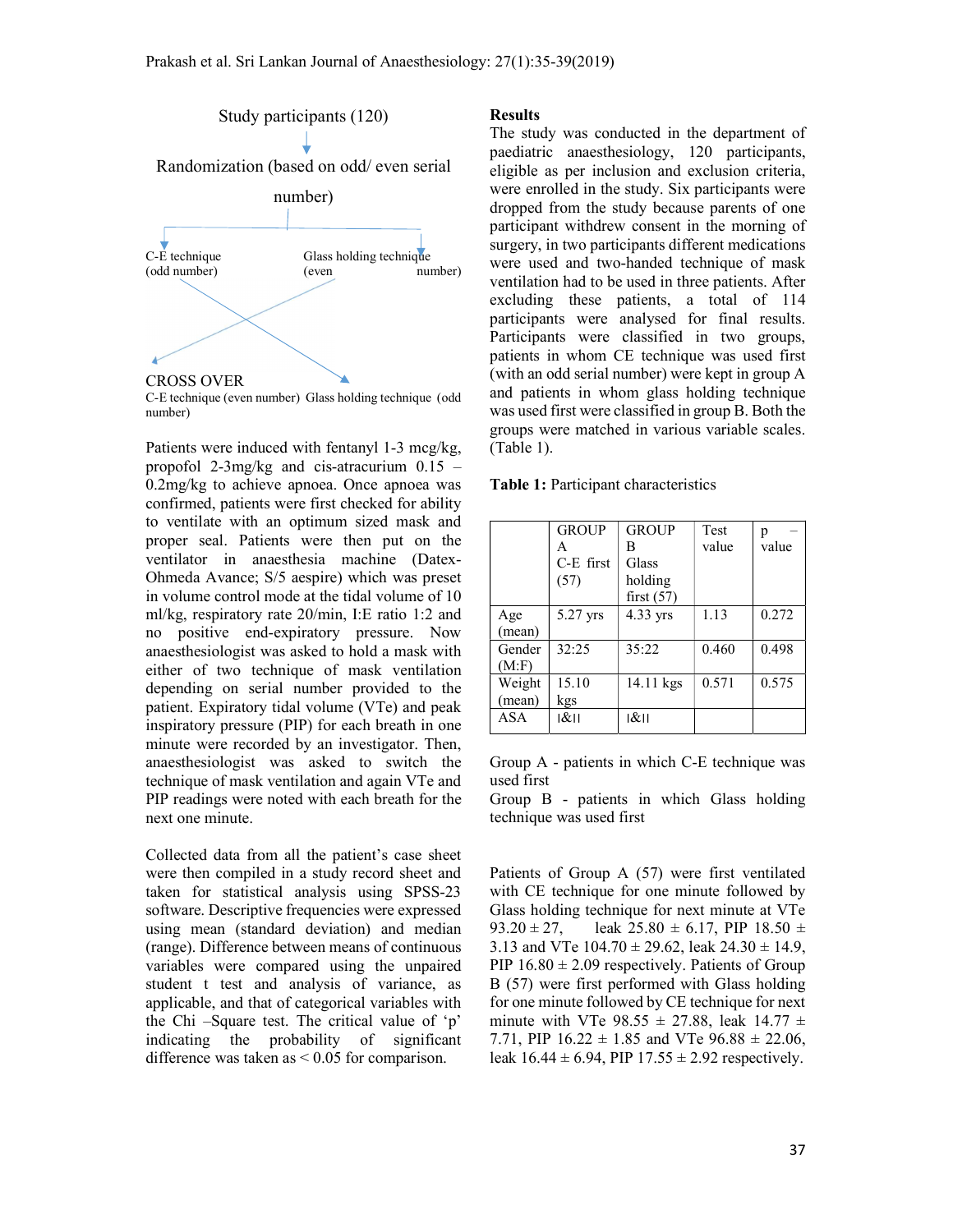

C-E technique (even number) Glass holding technique (odd number)

Patients were induced with fentanyl 1-3 mcg/kg, propofol 2-3mg/kg and cis-atracurium 0.15 – 0.2mg/kg to achieve apnoea. Once apnoea was confirmed, patients were first checked for ability to ventilate with an optimum sized mask and proper seal. Patients were then put on the ventilator in anaesthesia machine (Datex-Ohmeda Avance; S/5 aespire) which was preset in volume control mode at the tidal volume of 10 ml/kg, respiratory rate 20/min, I:E ratio 1:2 and no positive end-expiratory pressure. Now anaesthesiologist was asked to hold a mask with either of two technique of mask ventilation depending on serial number provided to the patient. Expiratory tidal volume (VTe) and peak inspiratory pressure (PIP) for each breath in one minute were recorded by an investigator. Then, anaesthesiologist was asked to switch the technique of mask ventilation and again VTe and PIP readings were noted with each breath for the next one minute.

Collected data from all the patient's case sheet were then compiled in a study record sheet and taken for statistical analysis using SPSS-23 software. Descriptive frequencies were expressed using mean (standard deviation) and median (range). Difference between means of continuous variables were compared using the unpaired student t test and analysis of variance, as applicable, and that of categorical variables with the Chi –Square test. The critical value of 'p' indicating the probability of significant difference was taken as  $\leq 0.05$  for comparison.

#### **Results**

The study was conducted in the department of paediatric anaesthesiology, 120 participants, eligible as per inclusion and exclusion criteria, were enrolled in the study. Six participants were dropped from the study because parents of one participant withdrew consent in the morning of surgery, in two participants different medications were used and two-handed technique of mask ventilation had to be used in three patients. After excluding these patients, a total of 114 participants were analysed for final results. Participants were classified in two groups, patients in whom CE technique was used first (with an odd serial number) were kept in group A and patients in whom glass holding technique was used first were classified in group B. Both the groups were matched in various variable scales. (Table 1).

Table 1: Participant characteristics

|        | <b>GROUP</b> | <b>GROUP</b> | <b>Test</b> | p     |
|--------|--------------|--------------|-------------|-------|
|        | А            | в            | value       | value |
|        | C-E first    | Glass        |             |       |
|        | (57)         | holding      |             |       |
|        |              | first $(57)$ |             |       |
| Age    | 5.27 yrs     | 4.33 yrs     | 1.13        | 0.272 |
| (mean) |              |              |             |       |
| Gender | 32:25        | 35:22        | 0.460       | 0.498 |
| (M: F) |              |              |             |       |
| Weight | 15.10        | $14.11$ kgs  | 0.571       | 0.575 |
| (mean) | kgs          |              |             |       |
| ASA    | $ \& $       | $ \& $       |             |       |

Group A - patients in which C-E technique was used first

Group B - patients in which Glass holding technique was used first

Patients of Group A (57) were first ventilated with CE technique for one minute followed by Glass holding technique for next minute at VTe 93.20  $\pm$  27, leak 25.80  $\pm$  6.17, PIP 18.50  $\pm$ 3.13 and VTe  $104.70 \pm 29.62$ , leak  $24.30 \pm 14.9$ , PIP  $16.80 \pm 2.09$  respectively. Patients of Group B (57) were first performed with Glass holding for one minute followed by CE technique for next minute with VTe  $98.55 \pm 27.88$ , leak  $14.77 \pm$ 7.71, PIP  $16.22 \pm 1.85$  and VTe  $96.88 \pm 22.06$ , leak  $16.44 \pm 6.94$ , PIP  $17.55 \pm 2.92$  respectively.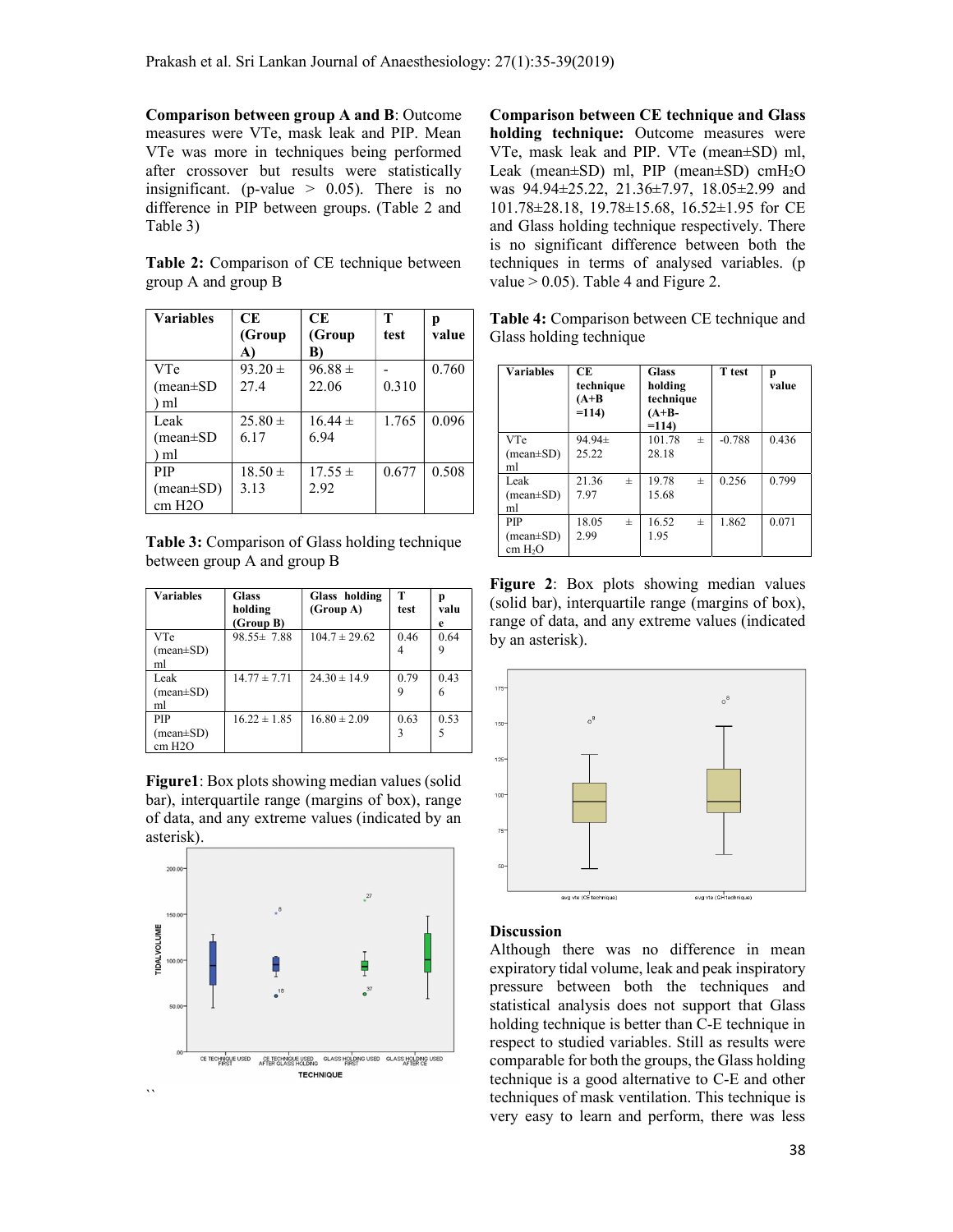Comparison between group A and B: Outcome measures were VTe, mask leak and PIP. Mean VTe was more in techniques being performed after crossover but results were statistically insignificant. (p-value  $> 0.05$ ). There is no difference in PIP between groups. (Table 2 and Table 3)

Table 2: Comparison of CE technique between group A and group B

| <b>Variables</b>    | CE          | CE          | т     |       |
|---------------------|-------------|-------------|-------|-------|
|                     | (Group      | (Group      | test  | value |
|                     | A)          | B)          |       |       |
| <b>VTe</b>          | $93.20 \pm$ | $96.88 \pm$ |       | 0.760 |
| $(mean \pm SD)$     | 27.4        | 22.06       | 0.310 |       |
| ml                  |             |             |       |       |
| Leak                | $25.80 \pm$ | $16.44 \pm$ | 1.765 | 0.096 |
| $(mean \pm SD)$     | 6.17        | 6.94        |       |       |
| ml                  |             |             |       |       |
| <b>PIP</b>          | $18.50 \pm$ | $17.55 \pm$ | 0.677 | 0.508 |
| $(mean \pm SD)$     | 3.13        | 2.92        |       |       |
| cm H <sub>2</sub> O |             |             |       |       |

Table 3: Comparison of Glass holding technique between group A and group B

| <b>Variables</b>                                     | <b>Glass</b><br>holding<br>(Group B) | Glass holding<br>(Group A) | т<br>test | р<br>valu<br>e |
|------------------------------------------------------|--------------------------------------|----------------------------|-----------|----------------|
| VTe<br>$(mean \pm SD)$<br>ml                         | $98.55 \pm 7.88$                     | $104.7 \pm 29.62$          | 0.46      | 0.64           |
| Leak<br>$(mean \pm SD)$<br>ml                        | $14.77 \pm 7.71$                     | $24.30 \pm 14.9$           | 0.79<br>9 | 0.43<br>6      |
| <b>PIP</b><br>$(mean \pm SD)$<br>cm H <sub>2</sub> O | $16.22 \pm 1.85$                     | $16.80 \pm 2.09$           | 0.63<br>٦ | 0.53<br>5      |

Figure1: Box plots showing median values (solid bar), interquartile range (margins of box), range of data, and any extreme values (indicated by an asterisk).



Comparison between CE technique and Glass holding technique: Outcome measures were VTe, mask leak and PIP. VTe (mean±SD) ml, Leak (mean±SD) ml, PIP (mean±SD) cmH<sub>2</sub>O was 94.94±25.22, 21.36±7.97, 18.05±2.99 and 101.78±28.18, 19.78±15.68, 16.52±1.95 for CE and Glass holding technique respectively. There is no significant difference between both the techniques in terms of analysed variables. (p value  $> 0.05$ ). Table 4 and Figure 2.

Table 4: Comparison between CE technique and Glass holding technique

| <b>Variables</b>                              | CE.<br>technique<br>$(A+B)$<br>$=114$ | <b>Glass</b><br>holding<br>technique<br>$(A+B-$<br>$=114$ | <b>T</b> test | р<br>value |
|-----------------------------------------------|---------------------------------------|-----------------------------------------------------------|---------------|------------|
| <b>VTe</b><br>$(mean \pm SD)$<br>ml           | 94.94±<br>25.22                       | 101.78<br>$+$<br>28.18                                    | $-0.788$      | 0.436      |
| Leak<br>$(mean \pm SD)$<br>ml                 | 21.36<br>$\pm$<br>7.97                | 19.78<br>$+$<br>15.68                                     | 0.256         | 0.799      |
| PIP<br>$(mean \pm SD)$<br>cm H <sub>2</sub> O | 18.05<br>$+$<br>2.99                  | 16.52<br>$+$<br>1.95                                      | 1.862         | 0.071      |

Figure 2: Box plots showing median values (solid bar), interquartile range (margins of box), range of data, and any extreme values (indicated by an asterisk).



## Discussion

Although there was no difference in mean expiratory tidal volume, leak and peak inspiratory pressure between both the techniques and statistical analysis does not support that Glass holding technique is better than C-E technique in respect to studied variables. Still as results were comparable for both the groups, the Glass holding technique is a good alternative to C-E and other techniques of mask ventilation. This technique is very easy to learn and perform, there was less